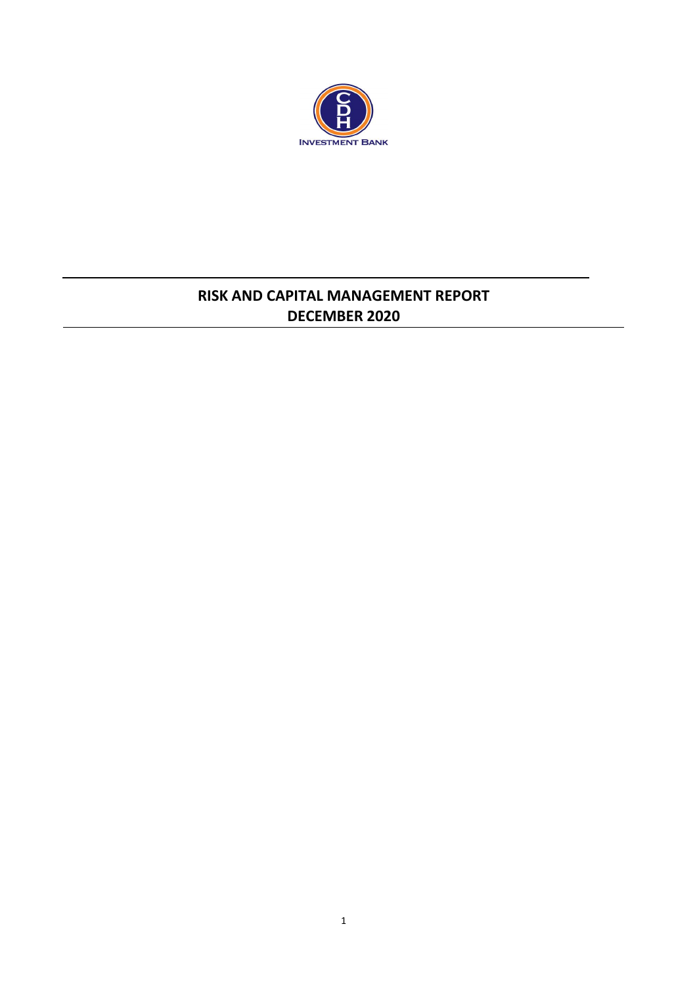

# **RISK AND CAPITAL MANAGEMENT REPORT DECEMBER 2020**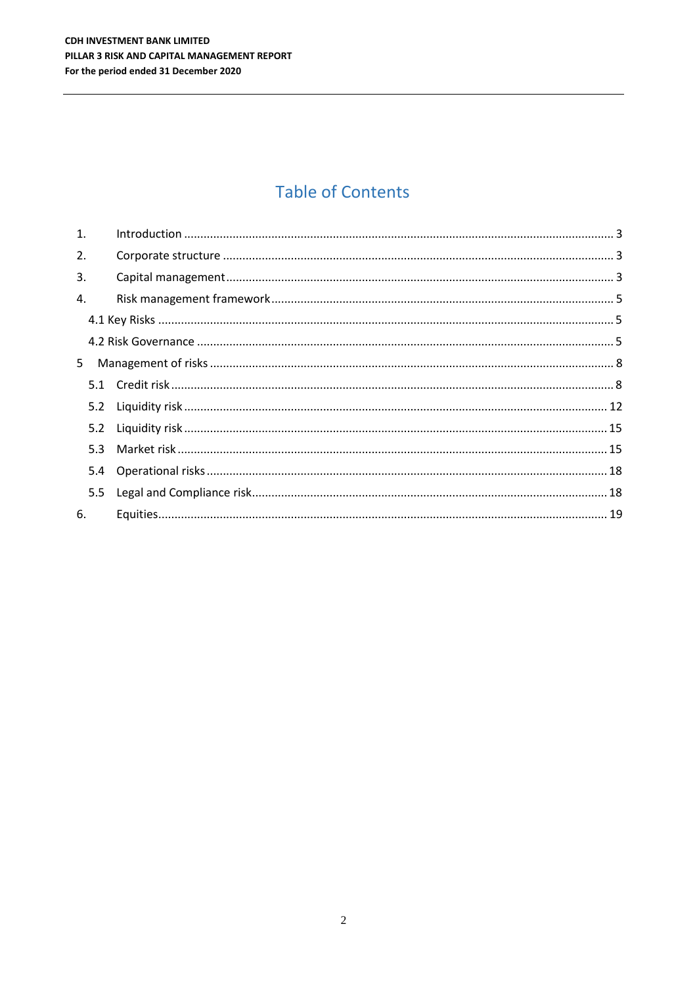# **Table of Contents**

| 1. |     |  |
|----|-----|--|
| 2. |     |  |
| 3. |     |  |
| 4. |     |  |
|    |     |  |
|    |     |  |
| 5  |     |  |
|    |     |  |
|    |     |  |
|    |     |  |
|    | 5.3 |  |
|    | 5.4 |  |
|    | 5.5 |  |
| 6. |     |  |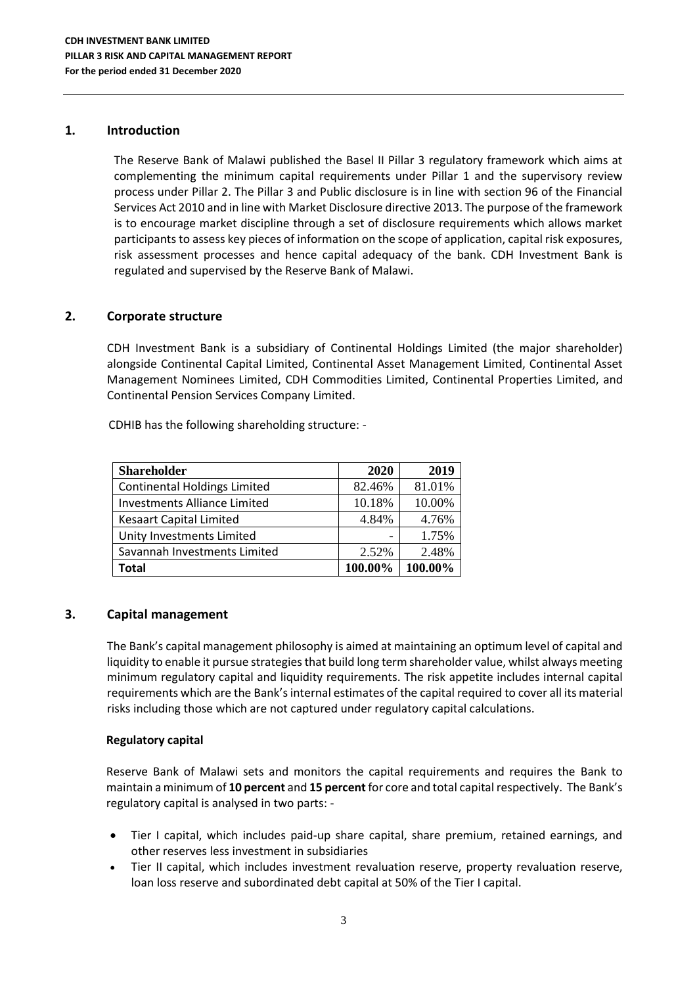#### <span id="page-2-0"></span>**1. Introduction**

The Reserve Bank of Malawi published the Basel II Pillar 3 regulatory framework which aims at complementing the minimum capital requirements under Pillar 1 and the supervisory review process under Pillar 2. The Pillar 3 and Public disclosure is in line with section 96 of the Financial Services Act 2010 and in line with Market Disclosure directive 2013. The purpose of the framework is to encourage market discipline through a set of disclosure requirements which allows market participants to assess key pieces of information on the scope of application, capital risk exposures, risk assessment processes and hence capital adequacy of the bank. CDH Investment Bank is regulated and supervised by the Reserve Bank of Malawi.

# <span id="page-2-1"></span>**2. Corporate structure**

CDH Investment Bank is a subsidiary of Continental Holdings Limited (the major shareholder) alongside Continental Capital Limited, Continental Asset Management Limited, Continental Asset Management Nominees Limited, CDH Commodities Limited, Continental Properties Limited, and Continental Pension Services Company Limited.

CDHIB has the following shareholding structure: -

| <b>Shareholder</b>                  | 2020    | 2019    |
|-------------------------------------|---------|---------|
| <b>Continental Holdings Limited</b> | 82.46%  | 81.01%  |
| <b>Investments Alliance Limited</b> | 10.18%  | 10.00%  |
| <b>Kesaart Capital Limited</b>      | 4.84%   | 4.76%   |
| Unity Investments Limited           |         | 1.75%   |
| Savannah Investments Limited        | 2.52%   | 2.48%   |
| Total                               | 100.00% | 100.00% |

# <span id="page-2-2"></span>**3. Capital management**

The Bank's capital management philosophy is aimed at maintaining an optimum level of capital and liquidity to enable it pursue strategies that build long term shareholder value, whilst always meeting minimum regulatory capital and liquidity requirements. The risk appetite includes internal capital requirements which are the Bank's internal estimates of the capital required to cover all its material risks including those which are not captured under regulatory capital calculations.

#### **Regulatory capital**

Reserve Bank of Malawi sets and monitors the capital requirements and requires the Bank to maintain a minimum of **10 percent** and **15 percent** for core and total capital respectively. The Bank's regulatory capital is analysed in two parts: -

- Tier I capital, which includes paid-up share capital, share premium, retained earnings, and other reserves less investment in subsidiaries
- Tier II capital, which includes investment revaluation reserve, property revaluation reserve, loan loss reserve and subordinated debt capital at 50% of the Tier I capital.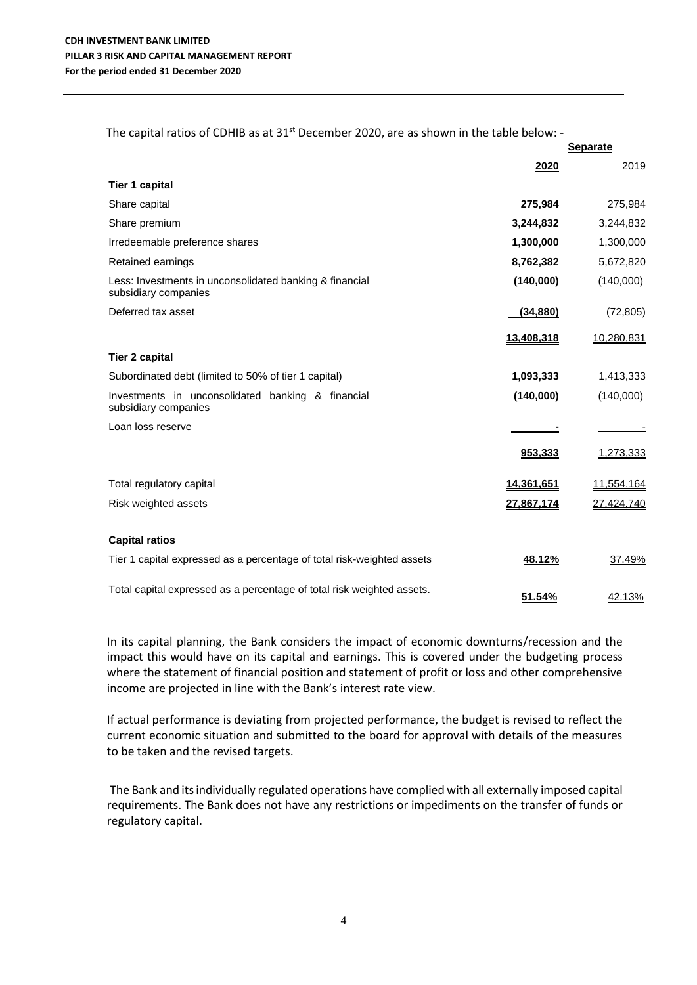The capital ratios of CDHIB as at 31 $^{\rm st}$  December 2020, are as shown in the table below: -

|                                                                                 |            | <b>Separate</b> |
|---------------------------------------------------------------------------------|------------|-----------------|
|                                                                                 | 2020       | 2019            |
| <b>Tier 1 capital</b>                                                           |            |                 |
| Share capital                                                                   | 275,984    | 275,984         |
| Share premium                                                                   | 3,244,832  | 3,244,832       |
| Irredeemable preference shares                                                  | 1,300,000  | 1,300,000       |
| Retained earnings                                                               | 8,762,382  | 5,672,820       |
| Less: Investments in unconsolidated banking & financial<br>subsidiary companies | (140,000)  | (140,000)       |
| Deferred tax asset                                                              | (34, 880)  | (72, 805)       |
|                                                                                 | 13,408,318 | 10,280,831      |
| <b>Tier 2 capital</b>                                                           |            |                 |
| Subordinated debt (limited to 50% of tier 1 capital)                            | 1,093,333  | 1,413,333       |
| Investments in unconsolidated banking & financial<br>subsidiary companies       | (140,000)  | (140,000)       |
| Loan loss reserve                                                               |            |                 |
|                                                                                 | 953,333    | 1,273,333       |
| Total regulatory capital                                                        | 14,361,651 | 11,554,164      |
| Risk weighted assets                                                            | 27.867.174 | 27,424,740      |
| <b>Capital ratios</b>                                                           |            |                 |
| Tier 1 capital expressed as a percentage of total risk-weighted assets          | 48.12%     | 37.49%          |
| Total capital expressed as a percentage of total risk weighted assets.          | 51.54%     | 42.13%          |

In its capital planning, the Bank considers the impact of economic downturns/recession and the impact this would have on its capital and earnings. This is covered under the budgeting process where the statement of financial position and statement of profit or loss and other comprehensive income are projected in line with the Bank's interest rate view.

If actual performance is deviating from projected performance, the budget is revised to reflect the current economic situation and submitted to the board for approval with details of the measures to be taken and the revised targets.

The Bank and its individually regulated operations have complied with all externally imposed capital requirements. The Bank does not have any restrictions or impediments on the transfer of funds or regulatory capital.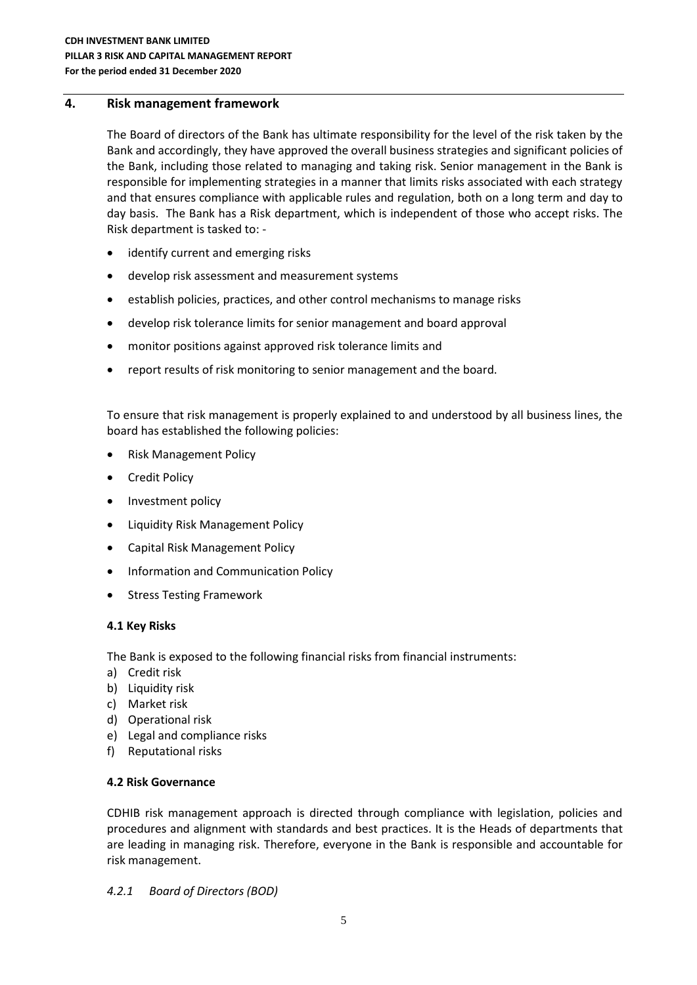### <span id="page-4-0"></span>**4. Risk management framework**

The Board of directors of the Bank has ultimate responsibility for the level of the risk taken by the Bank and accordingly, they have approved the overall business strategies and significant policies of the Bank, including those related to managing and taking risk. Senior management in the Bank is responsible for implementing strategies in a manner that limits risks associated with each strategy and that ensures compliance with applicable rules and regulation, both on a long term and day to day basis. The Bank has a Risk department, which is independent of those who accept risks. The Risk department is tasked to: -

- identify current and emerging risks
- develop risk assessment and measurement systems
- establish policies, practices, and other control mechanisms to manage risks
- develop risk tolerance limits for senior management and board approval
- monitor positions against approved risk tolerance limits and
- report results of risk monitoring to senior management and the board.

To ensure that risk management is properly explained to and understood by all business lines, the board has established the following policies:

- Risk Management Policy
- Credit Policy
- Investment policy
- Liquidity Risk Management Policy
- Capital Risk Management Policy
- Information and Communication Policy
- Stress Testing Framework

# <span id="page-4-1"></span>**4.1 Key Risks**

The Bank is exposed to the following financial risks from financial instruments:

- a) Credit risk
- b) Liquidity risk
- c) Market risk
- d) Operational risk
- e) Legal and compliance risks
- f) Reputational risks

# <span id="page-4-2"></span>**4.2 Risk Governance**

CDHIB risk management approach is directed through compliance with legislation, policies and procedures and alignment with standards and best practices. It is the Heads of departments that are leading in managing risk. Therefore, everyone in the Bank is responsible and accountable for risk management.

#### *4.2.1 Board of Directors (BOD)*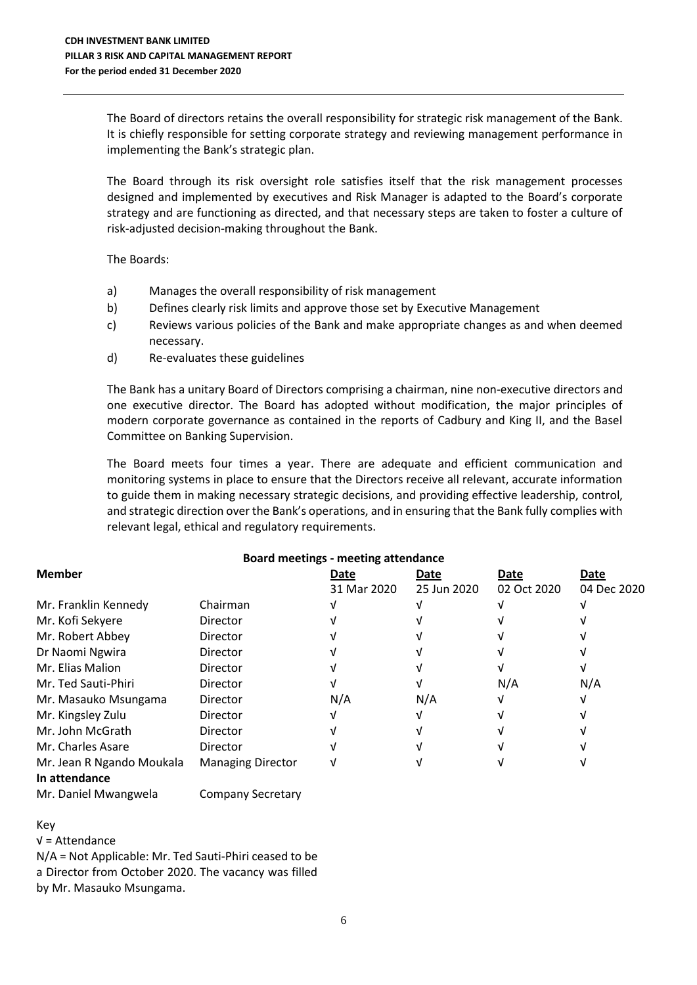The Board of directors retains the overall responsibility for strategic risk management of the Bank. It is chiefly responsible for setting corporate strategy and reviewing management performance in implementing the Bank's strategic plan.

The Board through its risk oversight role satisfies itself that the risk management processes designed and implemented by executives and Risk Manager is adapted to the Board's corporate strategy and are functioning as directed, and that necessary steps are taken to foster a culture of risk-adjusted decision-making throughout the Bank.

The Boards:

- a) Manages the overall responsibility of risk management
- b) Defines clearly risk limits and approve those set by Executive Management
- c) Reviews various policies of the Bank and make appropriate changes as and when deemed necessary.
- d) Re-evaluates these guidelines

The Bank has a unitary Board of Directors comprising a chairman, nine non-executive directors and one executive director. The Board has adopted without modification, the major principles of modern corporate governance as contained in the reports of Cadbury and King II, and the Basel Committee on Banking Supervision.

The Board meets four times a year. There are adequate and efficient communication and monitoring systems in place to ensure that the Directors receive all relevant, accurate information to guide them in making necessary strategic decisions, and providing effective leadership, control, and strategic direction over the Bank's operations, and in ensuring that the Bank fully complies with relevant legal, ethical and regulatory requirements.

| <b>Board meetings - meeting attendance</b> |                          |             |             |             |             |  |  |  |
|--------------------------------------------|--------------------------|-------------|-------------|-------------|-------------|--|--|--|
| <b>Member</b>                              |                          | Date        | Date        | Date        | Date        |  |  |  |
|                                            |                          | 31 Mar 2020 | 25 Jun 2020 | 02 Oct 2020 | 04 Dec 2020 |  |  |  |
| Mr. Franklin Kennedy                       | Chairman                 |             |             |             |             |  |  |  |
| Mr. Kofi Sekyere                           | Director                 |             |             |             |             |  |  |  |
| Mr. Robert Abbey                           | Director                 |             |             |             |             |  |  |  |
| Dr Naomi Ngwira                            | Director                 |             |             |             |             |  |  |  |
| Mr. Elias Malion                           | Director                 |             |             |             |             |  |  |  |
| Mr. Ted Sauti-Phiri                        | Director                 |             |             | N/A         | N/A         |  |  |  |
| Mr. Masauko Msungama                       | Director                 | N/A         | N/A         |             |             |  |  |  |
| Mr. Kingsley Zulu                          | Director                 |             |             |             |             |  |  |  |
| Mr. John McGrath                           | Director                 |             |             |             |             |  |  |  |
| Mr. Charles Asare                          | Director                 |             |             |             |             |  |  |  |
| Mr. Jean R Ngando Moukala<br>In attendance | <b>Managing Director</b> |             |             |             |             |  |  |  |
|                                            |                          |             |             |             |             |  |  |  |

Mr. Daniel Mwangwela Company Secretary

# Key

√ = Attendance

N/A = Not Applicable: Mr. Ted Sauti-Phiri ceased to be a Director from October 2020. The vacancy was filled by Mr. Masauko Msungama.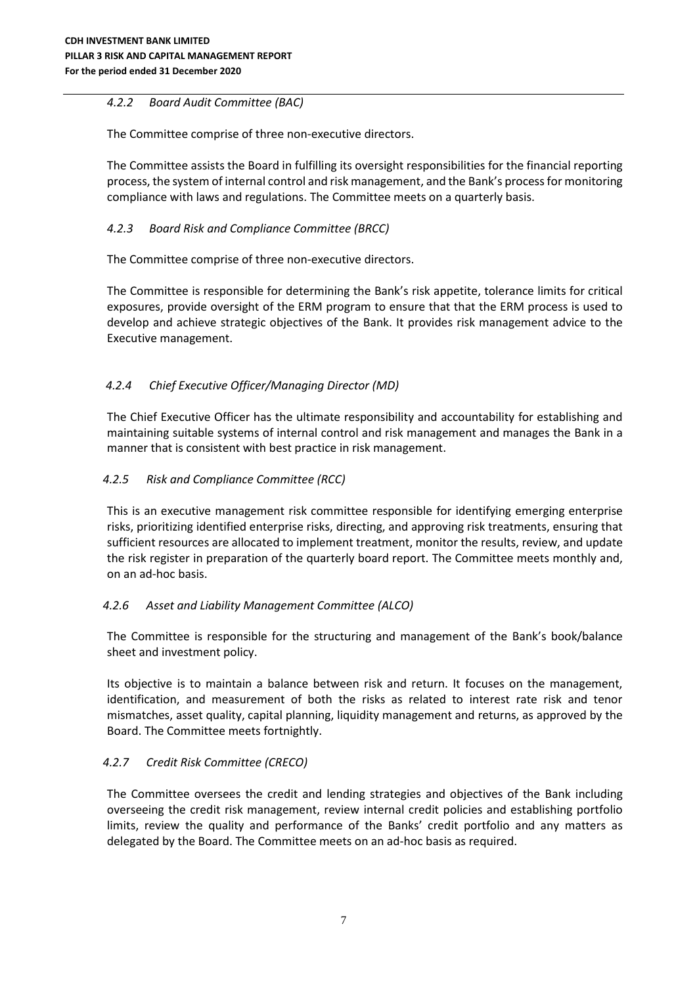# *4.2.2 Board Audit Committee (BAC)*

The Committee comprise of three non-executive directors.

The Committee assists the Board in fulfilling its oversight responsibilities for the financial reporting process, the system of internal control and risk management, and the Bank's process for monitoring compliance with laws and regulations. The Committee meets on a quarterly basis.

# *4.2.3 Board Risk and Compliance Committee (BRCC)*

The Committee comprise of three non-executive directors.

The Committee is responsible for determining the Bank's risk appetite, tolerance limits for critical exposures, provide oversight of the ERM program to ensure that that the ERM process is used to develop and achieve strategic objectives of the Bank. It provides risk management advice to the Executive management.

# *4.2.4 Chief Executive Officer/Managing Director (MD)*

The Chief Executive Officer has the ultimate responsibility and accountability for establishing and maintaining suitable systems of internal control and risk management and manages the Bank in a manner that is consistent with best practice in risk management.

# *4.2.5 Risk and Compliance Committee (RCC)*

This is an executive management risk committee responsible for identifying emerging enterprise risks, prioritizing identified enterprise risks, directing, and approving risk treatments, ensuring that sufficient resources are allocated to implement treatment, monitor the results, review, and update the risk register in preparation of the quarterly board report. The Committee meets monthly and, on an ad-hoc basis.

# *4.2.6 Asset and Liability Management Committee (ALCO)*

The Committee is responsible for the structuring and management of the Bank's book/balance sheet and investment policy.

Its objective is to maintain a balance between risk and return. It focuses on the management, identification, and measurement of both the risks as related to interest rate risk and tenor mismatches, asset quality, capital planning, liquidity management and returns, as approved by the Board. The Committee meets fortnightly.

# *4.2.7 Credit Risk Committee (CRECO)*

The Committee oversees the credit and lending strategies and objectives of the Bank including overseeing the credit risk management, review internal credit policies and establishing portfolio limits, review the quality and performance of the Banks' credit portfolio and any matters as delegated by the Board. The Committee meets on an ad-hoc basis as required.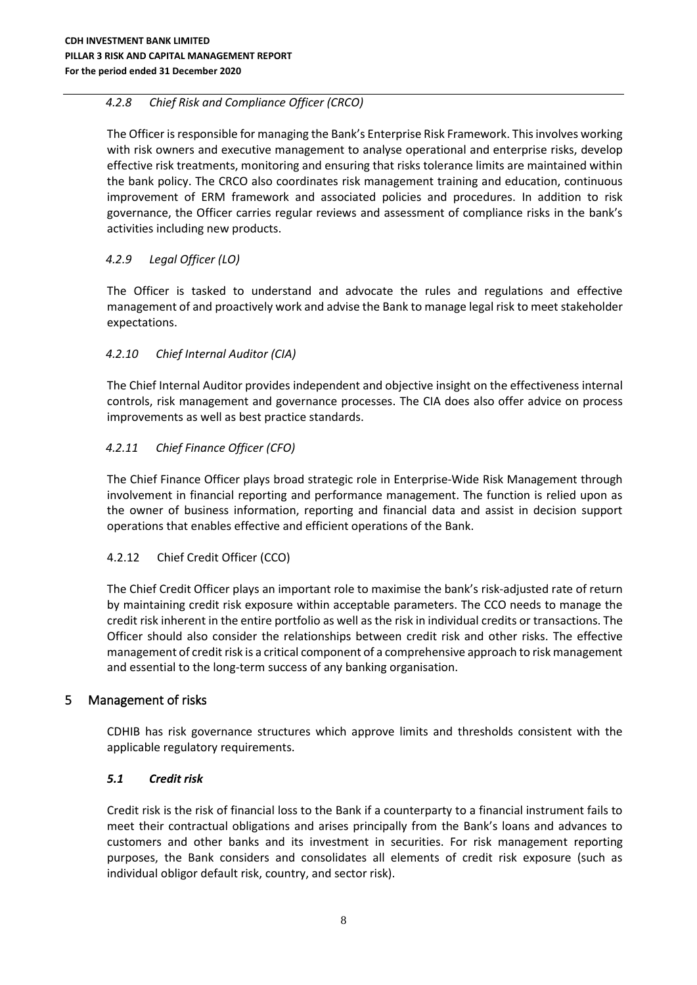# *4.2.8 Chief Risk and Compliance Officer (CRCO)*

The Officer is responsible for managing the Bank's Enterprise Risk Framework. This involves working with risk owners and executive management to analyse operational and enterprise risks, develop effective risk treatments, monitoring and ensuring that risks tolerance limits are maintained within the bank policy. The CRCO also coordinates risk management training and education, continuous improvement of ERM framework and associated policies and procedures. In addition to risk governance, the Officer carries regular reviews and assessment of compliance risks in the bank's activities including new products.

# *4.2.9 Legal Officer (LO)*

The Officer is tasked to understand and advocate the rules and regulations and effective management of and proactively work and advise the Bank to manage legal risk to meet stakeholder expectations.

### *4.2.10 Chief Internal Auditor (CIA)*

The Chief Internal Auditor provides independent and objective insight on the effectiveness internal controls, risk management and governance processes. The CIA does also offer advice on process improvements as well as best practice standards.

# *4.2.11 Chief Finance Officer (CFO)*

The Chief Finance Officer plays broad strategic role in Enterprise-Wide Risk Management through involvement in financial reporting and performance management. The function is relied upon as the owner of business information, reporting and financial data and assist in decision support operations that enables effective and efficient operations of the Bank.

#### 4.2.12 Chief Credit Officer (CCO)

The Chief Credit Officer plays an important role to maximise the bank's risk-adjusted rate of return by maintaining credit risk exposure within acceptable parameters. The CCO needs to manage the credit risk inherent in the entire portfolio as well as the risk in individual credits or transactions. The Officer should also consider the relationships between credit risk and other risks. The effective management of credit risk is a critical component of a comprehensive approach to risk management and essential to the long-term success of any banking organisation.

#### <span id="page-7-0"></span>5 Management of risks

CDHIB has risk governance structures which approve limits and thresholds consistent with the applicable regulatory requirements.

#### <span id="page-7-1"></span>*5.1 Credit risk*

Credit risk is the risk of financial loss to the Bank if a counterparty to a financial instrument fails to meet their contractual obligations and arises principally from the Bank's loans and advances to customers and other banks and its investment in securities. For risk management reporting purposes, the Bank considers and consolidates all elements of credit risk exposure (such as individual obligor default risk, country, and sector risk).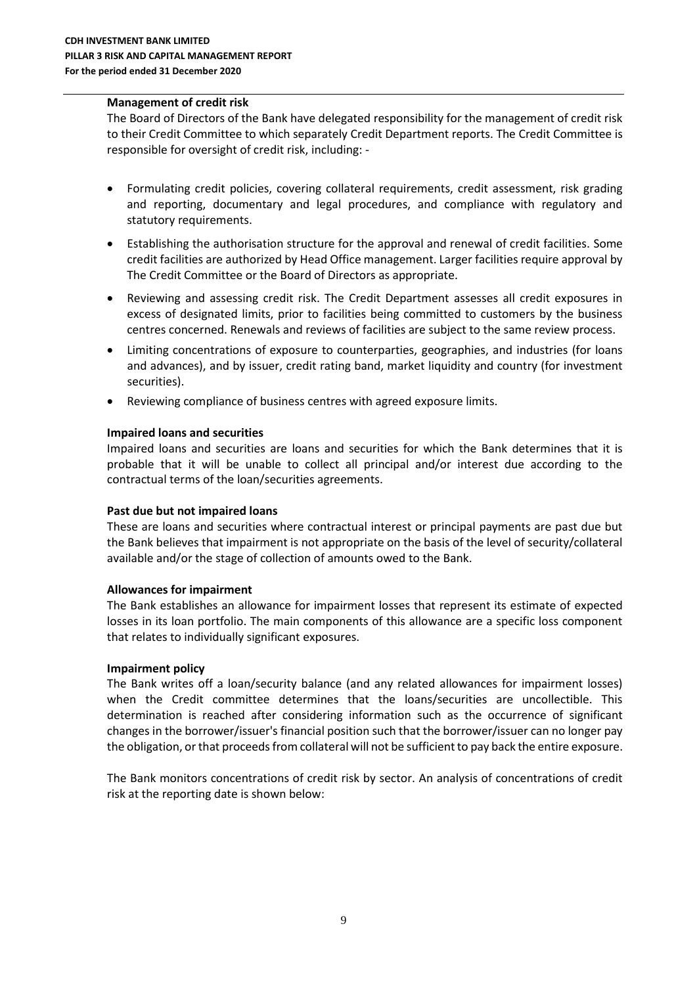#### **Management of credit risk**

The Board of Directors of the Bank have delegated responsibility for the management of credit risk to their Credit Committee to which separately Credit Department reports. The Credit Committee is responsible for oversight of credit risk, including: -

- Formulating credit policies, covering collateral requirements, credit assessment, risk grading and reporting, documentary and legal procedures, and compliance with regulatory and statutory requirements.
- Establishing the authorisation structure for the approval and renewal of credit facilities. Some credit facilities are authorized by Head Office management. Larger facilities require approval by The Credit Committee or the Board of Directors as appropriate.
- Reviewing and assessing credit risk. The Credit Department assesses all credit exposures in excess of designated limits, prior to facilities being committed to customers by the business centres concerned. Renewals and reviews of facilities are subject to the same review process.
- Limiting concentrations of exposure to counterparties, geographies, and industries (for loans and advances), and by issuer, credit rating band, market liquidity and country (for investment securities).
- Reviewing compliance of business centres with agreed exposure limits.

#### **Impaired loans and securities**

Impaired loans and securities are loans and securities for which the Bank determines that it is probable that it will be unable to collect all principal and/or interest due according to the contractual terms of the loan/securities agreements.

#### **Past due but not impaired loans**

These are loans and securities where contractual interest or principal payments are past due but the Bank believes that impairment is not appropriate on the basis of the level of security/collateral available and/or the stage of collection of amounts owed to the Bank.

#### **Allowances for impairment**

The Bank establishes an allowance for impairment losses that represent its estimate of expected losses in its loan portfolio. The main components of this allowance are a specific loss component that relates to individually significant exposures.

#### **Impairment policy**

The Bank writes off a loan/security balance (and any related allowances for impairment losses) when the Credit committee determines that the loans/securities are uncollectible. This determination is reached after considering information such as the occurrence of significant changes in the borrower/issuer's financial position such that the borrower/issuer can no longer pay the obligation, or that proceeds from collateral will not be sufficient to pay back the entire exposure.

The Bank monitors concentrations of credit risk by sector. An analysis of concentrations of credit risk at the reporting date is shown below: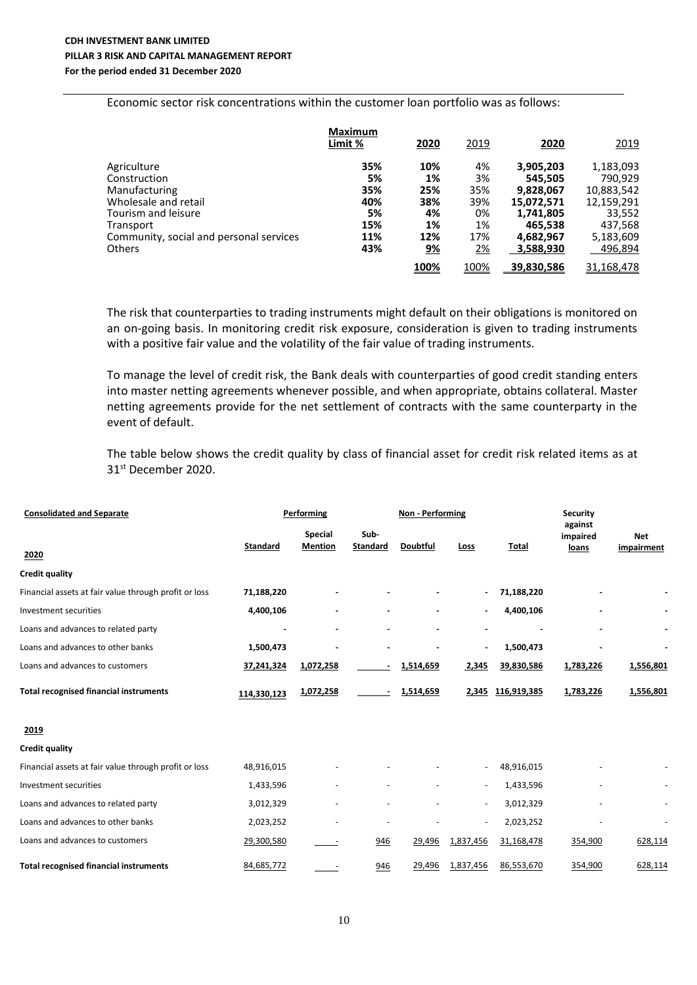#### **CDH INVESTMENT BANK LIMITED PILLAR 3 RISK AND CAPITAL MANAGEMENT REPORT For the period ended 31 December 2020**

Economic sector risk concentrations within the customer loan portfolio was as follows:

|                                         | <b>Maximum</b><br>Limit % | 2020      | 2019 | 2020       | 2019       |
|-----------------------------------------|---------------------------|-----------|------|------------|------------|
| Agriculture                             | 35%                       | 10%       | 4%   | 3,905,203  | 1,183,093  |
| Construction                            | 5%                        | 1%        | 3%   | 545,505    | 790,929    |
| Manufacturing                           | 35%                       | 25%       | 35%  | 9,828,067  | 10,883,542 |
| Wholesale and retail                    | 40%                       | 38%       | 39%  | 15,072,571 | 12,159,291 |
| Tourism and leisure                     | 5%                        | 4%        | 0%   | 1,741,805  | 33,552     |
| Transport                               | 15%                       | 1%        | 1%   | 465,538    | 437,568    |
| Community, social and personal services | 11%                       | 12%       | 17%  | 4,682,967  | 5,183,609  |
| <b>Others</b>                           | 43%                       | <u>9%</u> | 2%   | 3,588,930  | 496,894    |
|                                         |                           | 100%      | 100% | 39,830,586 | 31,168,478 |

The risk that counterparties to trading instruments might default on their obligations is monitored on an on-going basis. In monitoring credit risk exposure, consideration is given to trading instruments with a positive fair value and the volatility of the fair value of trading instruments.

To manage the level of credit risk, the Bank deals with counterparties of good credit standing enters into master netting agreements whenever possible, and when appropriate, obtains collateral. Master netting agreements provide for the net settlement of contracts with the same counterparty in the event of default.

The table below shows the credit quality by class of financial asset for credit risk related items as at 31 st December 2020.

| <b>Consolidated and Separate</b>                      |                 | Performing                       |                         |           | Non - Performing         |             |                              |                          |
|-------------------------------------------------------|-----------------|----------------------------------|-------------------------|-----------|--------------------------|-------------|------------------------------|--------------------------|
| 2020                                                  | <b>Standard</b> | <b>Special</b><br><b>Mention</b> | Sub-<br><b>Standard</b> | Doubtful  | Loss                     | Total       | against<br>impaired<br>loans | <b>Net</b><br>impairment |
| <b>Credit quality</b>                                 |                 |                                  |                         |           |                          |             |                              |                          |
| Financial assets at fair value through profit or loss | 71,188,220      |                                  |                         |           |                          | 71,188,220  |                              |                          |
| Investment securities                                 | 4,400,106       |                                  |                         |           |                          | 4,400,106   |                              |                          |
| Loans and advances to related party                   |                 |                                  |                         |           |                          |             |                              |                          |
| Loans and advances to other banks                     | 1,500,473       |                                  |                         |           |                          | 1,500,473   |                              |                          |
| Loans and advances to customers                       | 37,241,324      | 1,072,258                        | $\blacksquare$          | 1,514,659 | 2,345                    | 39,830,586  | 1,783,226                    | 1,556,801                |
| <b>Total recognised financial instruments</b>         | 114,330,123     | 1,072,258                        |                         | 1,514,659 | 2,345                    | 116,919,385 | 1,783,226                    | 1,556,801                |
| 2019                                                  |                 |                                  |                         |           |                          |             |                              |                          |
| <b>Credit quality</b>                                 |                 |                                  |                         |           |                          |             |                              |                          |
| Financial assets at fair value through profit or loss | 48,916,015      |                                  |                         |           |                          | 48,916,015  |                              |                          |
| Investment securities                                 | 1,433,596       |                                  |                         |           |                          | 1,433,596   |                              |                          |
| Loans and advances to related party                   | 3,012,329       |                                  |                         |           |                          | 3,012,329   |                              |                          |
| Loans and advances to other banks                     | 2,023,252       |                                  |                         |           | $\overline{\phantom{a}}$ | 2,023,252   |                              |                          |
| Loans and advances to customers                       | 29,300,580      | $\overline{\phantom{a}}$         | 946                     | 29,496    | 1,837,456                | 31,168,478  | 354,900                      | 628,114                  |
| <b>Total recognised financial instruments</b>         | 84,685,772      |                                  | 946                     | 29,496    | 1,837,456                | 86,553,670  | 354,900                      | 628,114                  |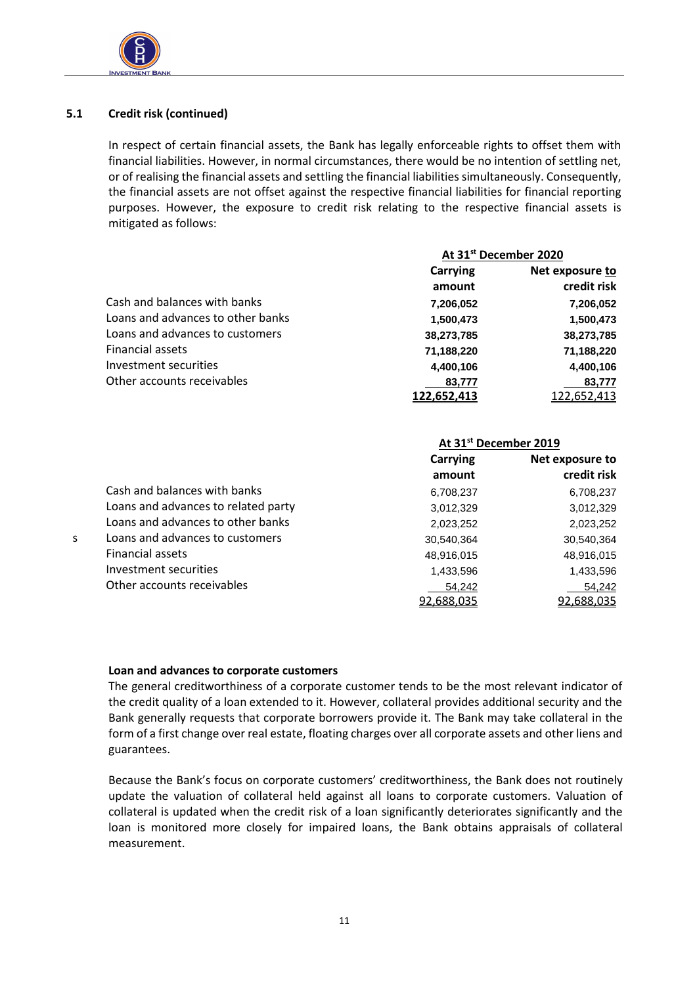

 $\overline{a}$ 

# **5.1 Credit risk (continued)**

In respect of certain financial assets, the Bank has legally enforceable rights to offset them with financial liabilities. However, in normal circumstances, there would be no intention of settling net, or of realising the financial assets and settling the financial liabilities simultaneously. Consequently, the financial assets are not offset against the respective financial liabilities for financial reporting purposes. However, the exposure to credit risk relating to the respective financial assets is mitigated as follows:

|                                   | At 31 <sup>st</sup> December 2020 |                 |  |
|-----------------------------------|-----------------------------------|-----------------|--|
|                                   | Carrying                          | Net exposure to |  |
|                                   | amount                            | credit risk     |  |
| Cash and balances with banks      | 7,206,052                         | 7,206,052       |  |
| Loans and advances to other banks | 1,500,473                         | 1,500,473       |  |
| Loans and advances to customers   | 38,273,785                        | 38,273,785      |  |
| Financial assets                  | 71,188,220                        | 71,188,220      |  |
| Investment securities             | 4,400,106                         | 4,400,106       |  |
| Other accounts receivables        | 83,777                            | 83,777          |  |
|                                   | 122,652,413                       | 122,652,413     |  |

|    |                                     | At 31 <sup>st</sup> December 2019 |                 |  |
|----|-------------------------------------|-----------------------------------|-----------------|--|
|    |                                     | Carrying                          | Net exposure to |  |
|    |                                     | amount                            | credit risk     |  |
|    | Cash and balances with banks        | 6,708,237                         | 6,708,237       |  |
|    | Loans and advances to related party | 3,012,329                         | 3,012,329       |  |
|    | Loans and advances to other banks   | 2,023,252                         | 2,023,252       |  |
| S. | Loans and advances to customers     | 30,540,364                        | 30,540,364      |  |
|    | <b>Financial assets</b>             | 48,916,015                        | 48,916,015      |  |
|    | Investment securities               | 1,433,596                         | 1,433,596       |  |
|    | Other accounts receivables          | 54,242                            | 54,242          |  |
|    |                                     | 92,688,035                        | 92,688,035      |  |

# **Loan and advances to corporate customers**

The general creditworthiness of a corporate customer tends to be the most relevant indicator of the credit quality of a loan extended to it. However, collateral provides additional security and the Bank generally requests that corporate borrowers provide it. The Bank may take collateral in the form of a first change over real estate, floating charges over all corporate assets and other liens and guarantees.

Because the Bank's focus on corporate customers' creditworthiness, the Bank does not routinely update the valuation of collateral held against all loans to corporate customers. Valuation of collateral is updated when the credit risk of a loan significantly deteriorates significantly and the loan is monitored more closely for impaired loans, the Bank obtains appraisals of collateral measurement.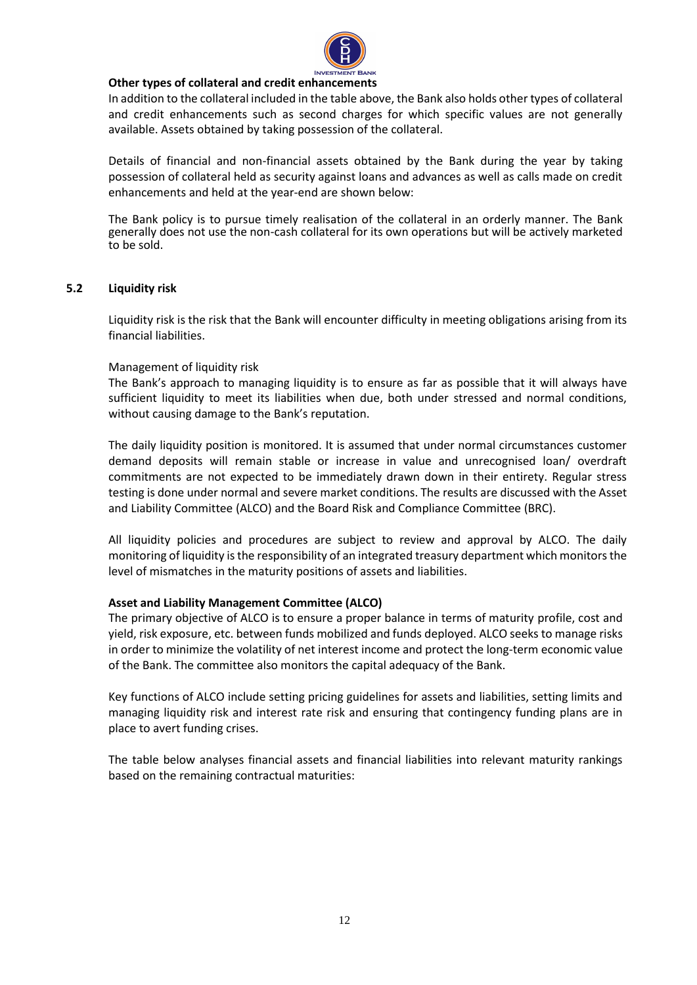

#### **Other types of collateral and credit enhancements**

In addition to the collateral included in the table above, the Bank also holds other types of collateral and credit enhancements such as second charges for which specific values are not generally available. Assets obtained by taking possession of the collateral.

Details of financial and non-financial assets obtained by the Bank during the year by taking possession of collateral held as security against loans and advances as well as calls made on credit enhancements and held at the year-end are shown below:

The Bank policy is to pursue timely realisation of the collateral in an orderly manner. The Bank generally does not use the non-cash collateral for its own operations but will be actively marketed to be sold.

#### <span id="page-11-0"></span>**5.2 Liquidity risk**

Liquidity risk is the risk that the Bank will encounter difficulty in meeting obligations arising from its financial liabilities.

#### Management of liquidity risk

The Bank's approach to managing liquidity is to ensure as far as possible that it will always have sufficient liquidity to meet its liabilities when due, both under stressed and normal conditions, without causing damage to the Bank's reputation.

The daily liquidity position is monitored. It is assumed that under normal circumstances customer demand deposits will remain stable or increase in value and unrecognised loan/ overdraft commitments are not expected to be immediately drawn down in their entirety. Regular stress testing is done under normal and severe market conditions. The results are discussed with the Asset and Liability Committee (ALCO) and the Board Risk and Compliance Committee (BRC).

All liquidity policies and procedures are subject to review and approval by ALCO. The daily monitoring of liquidity is the responsibility of an integrated treasury department which monitors the level of mismatches in the maturity positions of assets and liabilities.

#### **Asset and Liability Management Committee (ALCO)**

The primary objective of ALCO is to ensure a proper balance in terms of maturity profile, cost and yield, risk exposure, etc. between funds mobilized and funds deployed. ALCO seeks to manage risks in order to minimize the volatility of net interest income and protect the long-term economic value of the Bank. The committee also monitors the capital adequacy of the Bank.

Key functions of ALCO include setting pricing guidelines for assets and liabilities, setting limits and managing liquidity risk and interest rate risk and ensuring that contingency funding plans are in place to avert funding crises.

The table below analyses financial assets and financial liabilities into relevant maturity rankings based on the remaining contractual maturities: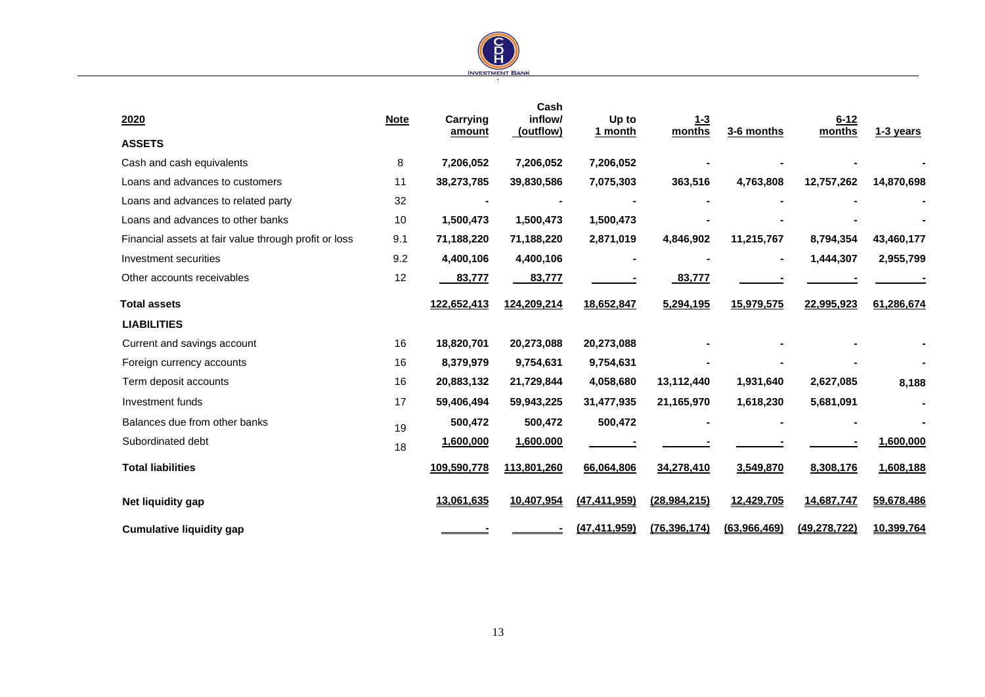

| 2020                                                  | <b>Note</b> | Carrying<br>amount | Cash<br>inflow/<br>(outflow) | Up to<br>1 month | <u>1-3</u><br>months | 3-6 months     | $6 - 12$<br>months | 1-3 years  |
|-------------------------------------------------------|-------------|--------------------|------------------------------|------------------|----------------------|----------------|--------------------|------------|
| <b>ASSETS</b>                                         |             |                    |                              |                  |                      |                |                    |            |
| Cash and cash equivalents                             | 8           | 7,206,052          | 7,206,052                    | 7,206,052        |                      |                |                    |            |
| Loans and advances to customers                       | 11          | 38,273,785         | 39,830,586                   | 7,075,303        | 363,516              | 4,763,808      | 12,757,262         | 14,870,698 |
| Loans and advances to related party                   | 32          |                    |                              |                  |                      |                |                    |            |
| Loans and advances to other banks                     | 10          | 1,500,473          | 1,500,473                    | 1,500,473        |                      |                |                    |            |
| Financial assets at fair value through profit or loss | 9.1         | 71,188,220         | 71,188,220                   | 2,871,019        | 4,846,902            | 11,215,767     | 8,794,354          | 43,460,177 |
| Investment securities                                 | 9.2         | 4,400,106          | 4,400,106                    |                  |                      | $\blacksquare$ | 1,444,307          | 2,955,799  |
| Other accounts receivables                            | 12          | 83,777             | 83,777                       |                  | 83,777               |                |                    |            |
| <b>Total assets</b>                                   |             | 122,652,413        | 124,209,214                  | 18,652,847       | 5,294,195            | 15,979,575     | 22,995,923         | 61,286,674 |
| <b>LIABILITIES</b>                                    |             |                    |                              |                  |                      |                |                    |            |
| Current and savings account                           | 16          | 18,820,701         | 20,273,088                   | 20,273,088       |                      |                |                    |            |
| Foreign currency accounts                             | 16          | 8,379,979          | 9,754,631                    | 9,754,631        |                      |                |                    |            |
| Term deposit accounts                                 | 16          | 20,883,132         | 21,729,844                   | 4,058,680        | 13,112,440           | 1,931,640      | 2,627,085          | 8,188      |
| Investment funds                                      | 17          | 59,406,494         | 59,943,225                   | 31,477,935       | 21,165,970           | 1,618,230      | 5,681,091          |            |
| Balances due from other banks                         | 19          | 500,472            | 500,472                      | 500,472          |                      |                |                    |            |
| Subordinated debt                                     | 18          | 1,600,000          | 1,600.000                    |                  |                      |                |                    | 1,600,000  |
| <b>Total liabilities</b>                              |             | 109,590,778        | 113,801,260                  | 66,064,806       | 34,278,410           | 3,549,870      | 8,308,176          | 1,608,188  |
| Net liquidity gap                                     |             | 13,061,635         | 10,407,954                   | (47, 411, 959)   | (28, 984, 215)       | 12,429,705     | 14,687,747         | 59,678,486 |
| <b>Cumulative liquidity gap</b>                       |             |                    |                              | (47, 411, 959)   | (76, 396, 174)       | (63,966,469)   | (49, 278, 722)     | 10,399,764 |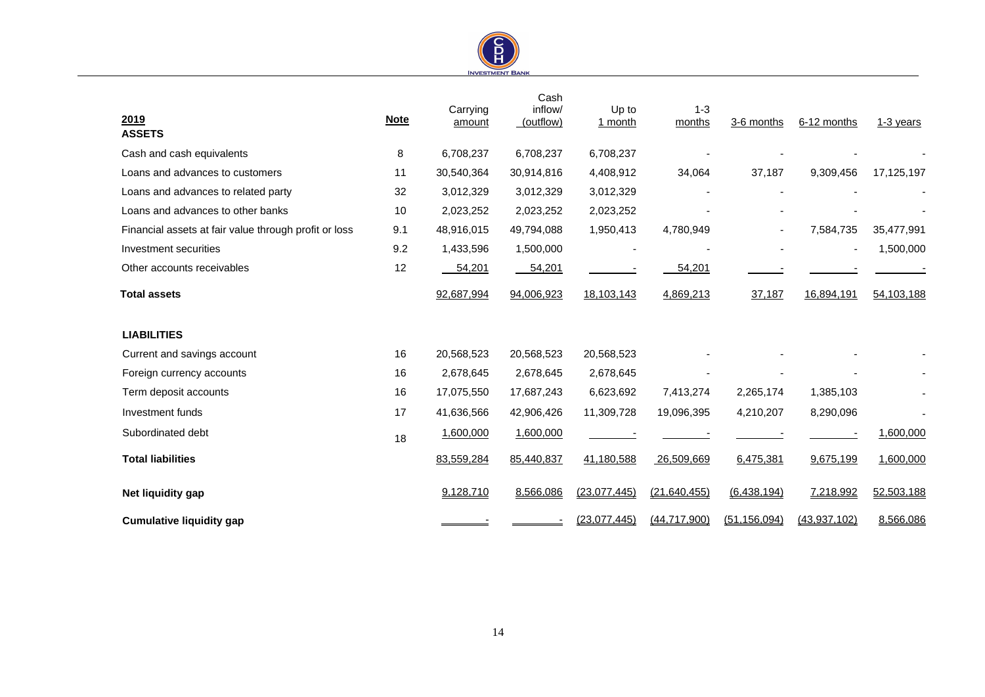

| 2019<br><b>ASSETS</b>                                 | <b>Note</b> | Carrying<br>amount | Cash<br>inflow/<br>(outflow) | Up to<br>1 month | $1 - 3$<br>months | 3-6 months     | 6-12 months    | 1-3 years  |
|-------------------------------------------------------|-------------|--------------------|------------------------------|------------------|-------------------|----------------|----------------|------------|
| Cash and cash equivalents                             | 8           | 6,708,237          | 6,708,237                    | 6,708,237        |                   |                |                |            |
| Loans and advances to customers                       | 11          | 30,540,364         | 30,914,816                   | 4,408,912        | 34,064            | 37,187         | 9,309,456      | 17,125,197 |
| Loans and advances to related party                   | 32          | 3,012,329          | 3,012,329                    | 3,012,329        |                   |                |                |            |
| Loans and advances to other banks                     | 10          | 2,023,252          | 2,023,252                    | 2,023,252        |                   |                |                |            |
| Financial assets at fair value through profit or loss | 9.1         | 48,916,015         | 49,794,088                   | 1,950,413        | 4,780,949         |                | 7,584,735      | 35,477,991 |
| Investment securities                                 | 9.2         | 1,433,596          | 1,500,000                    |                  |                   |                |                | 1,500,000  |
| Other accounts receivables                            | 12          | 54,201             | 54,201                       |                  | 54,201            |                |                |            |
| <b>Total assets</b>                                   |             | 92,687,994         | 94,006,923                   | 18,103,143       | 4,869,213         | 37,187         | 16,894,191     | 54,103,188 |
| <b>LIABILITIES</b>                                    |             |                    |                              |                  |                   |                |                |            |
| Current and savings account                           | 16          | 20,568,523         | 20,568,523                   | 20,568,523       |                   |                |                |            |
| Foreign currency accounts                             | 16          | 2,678,645          | 2,678,645                    | 2,678,645        |                   |                |                |            |
| Term deposit accounts                                 | 16          | 17,075,550         | 17,687,243                   | 6,623,692        | 7,413,274         | 2,265,174      | 1,385,103      |            |
| Investment funds                                      | 17          | 41,636,566         | 42,906,426                   | 11,309,728       | 19,096,395        | 4,210,207      | 8,290,096      |            |
| Subordinated debt                                     | 18          | 1,600,000          | 1,600,000                    |                  |                   |                |                | 1,600,000  |
| <b>Total liabilities</b>                              |             | 83,559,284         | 85,440,837                   | 41,180,588       | 26,509,669        | 6,475,381      | 9,675,199      | 1,600,000  |
| Net liquidity gap                                     |             | 9,128,710          | 8,566,086                    | (23,077,445)     | (21, 640, 455)    | (6,438,194)    | 7,218,992      | 52,503,188 |
| <b>Cumulative liquidity gap</b>                       |             |                    |                              | (23,077,445)     | (44, 717, 900)    | (51, 156, 094) | (43, 937, 102) | 8,566,086  |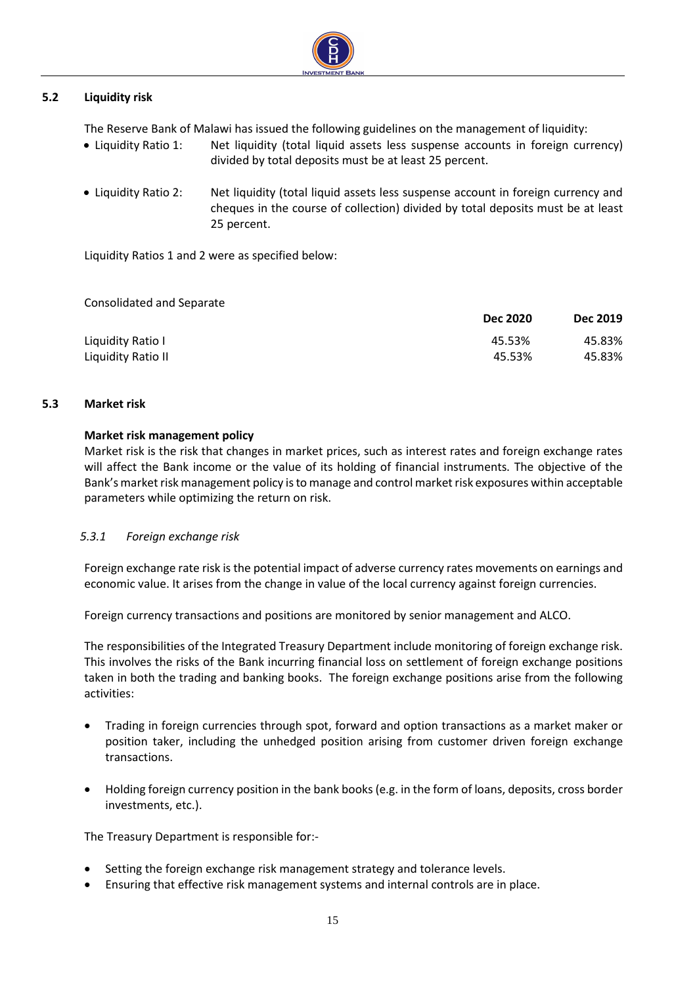

# <span id="page-14-0"></span>**5.2 Liquidity risk**

The Reserve Bank of Malawi has issued the following guidelines on the management of liquidity:

- Liquidity Ratio 1: Net liquidity (total liquid assets less suspense accounts in foreign currency) divided by total deposits must be at least 25 percent.
- Liquidity Ratio 2: Net liquidity (total liquid assets less suspense account in foreign currency and cheques in the course of collection) divided by total deposits must be at least 25 percent.

Liquidity Ratios 1 and 2 were as specified below:

Consolidated and Separate

|                    | <b>Dec 2020</b> | <b>Dec 2019</b> |
|--------------------|-----------------|-----------------|
| Liquidity Ratio I  | 45.53%          | 45.83%          |
| Liquidity Ratio II | 45.53%          | 45.83%          |

### <span id="page-14-1"></span>**5.3 Market risk**

### **Market risk management policy**

Market risk is the risk that changes in market prices, such as interest rates and foreign exchange rates will affect the Bank income or the value of its holding of financial instruments. The objective of the Bank's market risk management policy is to manage and control market risk exposures within acceptable parameters while optimizing the return on risk.

# *5.3.1 Foreign exchange risk*

Foreign exchange rate risk is the potential impact of adverse currency rates movements on earnings and economic value. It arises from the change in value of the local currency against foreign currencies.

Foreign currency transactions and positions are monitored by senior management and ALCO.

The responsibilities of the Integrated Treasury Department include monitoring of foreign exchange risk. This involves the risks of the Bank incurring financial loss on settlement of foreign exchange positions taken in both the trading and banking books. The foreign exchange positions arise from the following activities:

- Trading in foreign currencies through spot, forward and option transactions as a market maker or position taker, including the unhedged position arising from customer driven foreign exchange transactions.
- Holding foreign currency position in the bank books (e.g. in the form of loans, deposits, cross border investments, etc.).

The Treasury Department is responsible for:-

- Setting the foreign exchange risk management strategy and tolerance levels.
- Ensuring that effective risk management systems and internal controls are in place.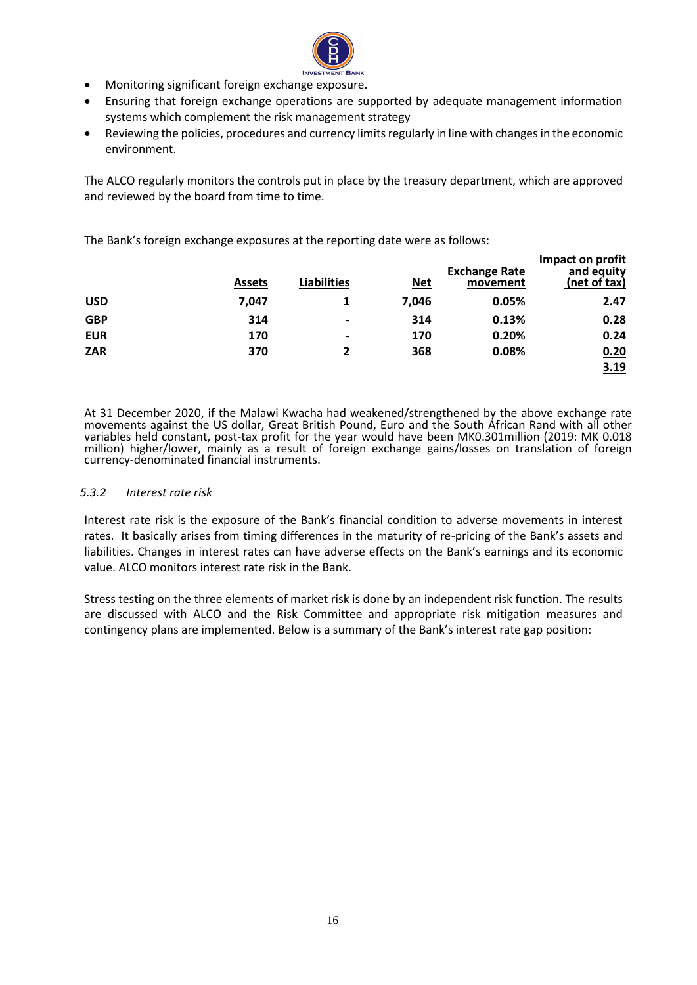

- Monitoring significant foreign exchange exposure.
- Ensuring that foreign exchange operations are supported by adequate management information systems which complement the risk management strategy
- Reviewing the policies, procedures and currency limits regularly in line with changes in the economic environment.

The ALCO regularly monitors the controls put in place by the treasury department, which are approved and reviewed by the board from time to time.

The Bank's foreign exchange exposures at the reporting date were as follows:

|            | <b>Assets</b> | <b>Liabilities</b> | <u>Net</u> | <b>Exchange Rate</b><br>movement | Impact on profit<br>and equity<br>(net of tax) |
|------------|---------------|--------------------|------------|----------------------------------|------------------------------------------------|
| <b>USD</b> | 7,047         |                    | 7,046      | 0.05%                            | 2.47                                           |
| <b>GBP</b> | 314           | $\blacksquare$     | 314        | 0.13%                            | 0.28                                           |
| <b>EUR</b> | 170           | $\blacksquare$     | 170        | 0.20%                            | 0.24                                           |
| <b>ZAR</b> | 370           | 2                  | 368        | 0.08%                            | 0.20                                           |
|            |               |                    |            |                                  | 3.19                                           |

At 31 December 2020, if the Malawi Kwacha had weakened/strengthened by the above exchange rate movements against the US dollar, Great British Pound, Euro and the South African Rand with all other variables held constant, post-tax profit for the year would have been MK0.301million (2019: MK 0.018 million) higher/lower, mainly as a result of foreign exchange gains/losses on translation of foreign currency-denominated financial instruments.

#### *5.3.2 Interest rate risk*

Interest rate risk is the exposure of the Bank's financial condition to adverse movements in interest rates. It basically arises from timing differences in the maturity of re-pricing of the Bank's assets and liabilities. Changes in interest rates can have adverse effects on the Bank's earnings and its economic value. ALCO monitors interest rate risk in the Bank.

Stress testing on the three elements of market risk is done by an independent risk function. The results are discussed with ALCO and the Risk Committee and appropriate risk mitigation measures and contingency plans are implemented. Below is a summary of the Bank's interest rate gap position: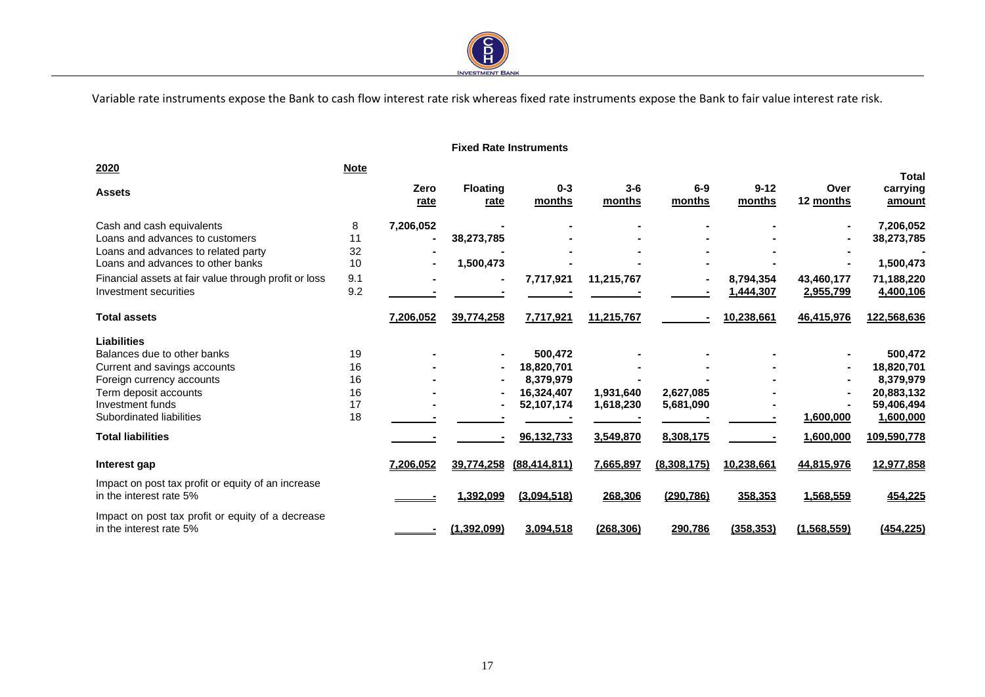

Variable rate instruments expose the Bank to cash flow interest rate risk whereas fixed rate instruments expose the Bank to fair value interest rate risk.

#### **Fixed Rate Instruments**

 $\overline{a}$ 

| 2020                                                                           | <b>Note</b> |              |                         |                          |                        |                        |                         |                         | <b>Total</b>             |
|--------------------------------------------------------------------------------|-------------|--------------|-------------------------|--------------------------|------------------------|------------------------|-------------------------|-------------------------|--------------------------|
| <b>Assets</b>                                                                  |             | Zero<br>rate | <b>Floating</b><br>rate | $0 - 3$<br>months        | $3-6$<br>months        | $6-9$<br>months        | $9 - 12$<br>months      | Over<br>12 months       | carrying<br>amount       |
| Cash and cash equivalents<br>Loans and advances to customers                   | 8<br>11     | 7,206,052    | 38,273,785              |                          |                        |                        |                         |                         | 7,206,052<br>38,273,785  |
| Loans and advances to related party<br>Loans and advances to other banks       | 32<br>10    |              | 1,500,473               |                          |                        |                        |                         |                         | 1,500,473                |
| Financial assets at fair value through profit or loss<br>Investment securities | 9.1<br>9.2  |              |                         | 7,717,921                | 11,215,767             |                        | 8,794,354               | 43,460,177              | 71,188,220               |
| <b>Total assets</b>                                                            |             | 7,206,052    | 39,774,258              | 7,717,921                | 11,215,767             |                        | 1,444,307<br>10,238,661 | 2,955,799<br>46,415,976 | 4,400,106<br>122,568,636 |
|                                                                                |             |              |                         |                          |                        |                        |                         |                         |                          |
| <b>Liabilities</b><br>Balances due to other banks                              | 19          |              |                         | 500,472                  |                        |                        |                         |                         | 500,472                  |
| Current and savings accounts<br>Foreign currency accounts                      | 16<br>16    |              |                         | 18,820,701<br>8,379,979  |                        |                        |                         |                         | 18,820,701<br>8,379,979  |
| Term deposit accounts<br>Investment funds                                      | 16<br>17    |              |                         | 16,324,407<br>52,107,174 | 1,931,640<br>1,618,230 | 2,627,085<br>5,681,090 |                         |                         | 20,883,132<br>59,406,494 |
| Subordinated liabilities                                                       | 18          |              |                         |                          |                        |                        |                         | 1,600,000               | 1,600,000                |
| <b>Total liabilities</b>                                                       |             |              |                         | 96,132,733               | 3,549,870              | 8,308,175              |                         | 1,600,000               | 109,590,778              |
| Interest gap                                                                   |             | 7.206.052    | 39,774,258              | (88, 414, 811)           | 7,665,897              | (8,308,175)            | 10,238,661              | 44,815,976              | 12,977,858               |
| Impact on post tax profit or equity of an increase<br>in the interest rate 5%  |             |              | 1,392,099               | (3,094,518)              | 268,306                | (290, 786)             | 358,353                 | 1,568,559               | 454,225                  |
| Impact on post tax profit or equity of a decrease<br>in the interest rate 5%   |             |              | (1,392,099)             | 3,094,518                | (268, 306)             | 290,786                | (358, 353)              | (1,568,559)             | (454, 225)               |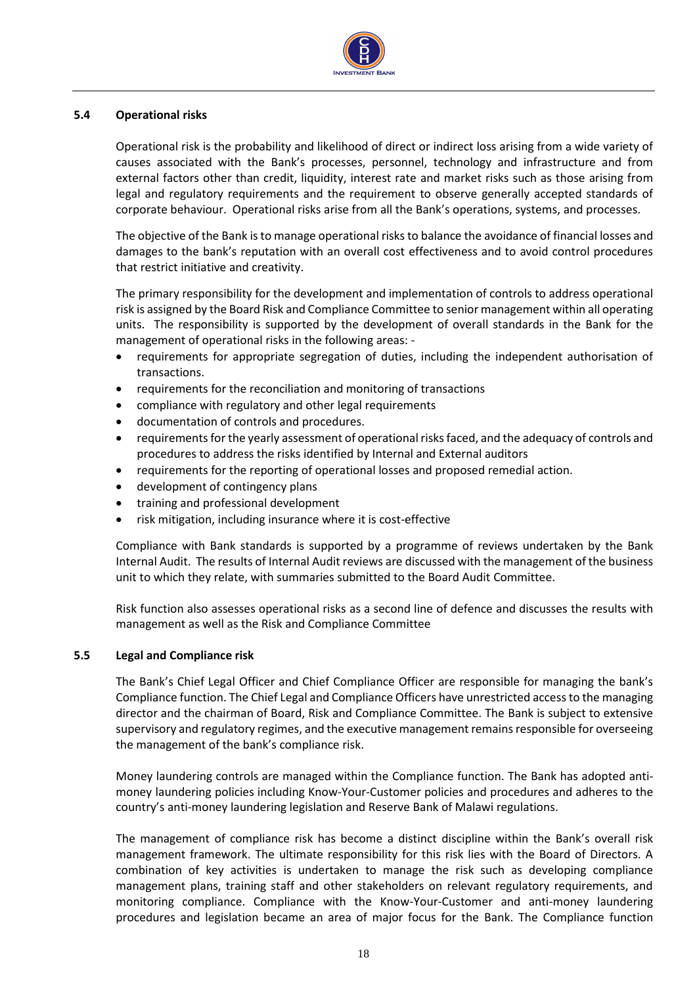

#### <span id="page-17-0"></span>**5.4 Operational risks**

Operational risk is the probability and likelihood of direct or indirect loss arising from a wide variety of causes associated with the Bank's processes, personnel, technology and infrastructure and from external factors other than credit, liquidity, interest rate and market risks such as those arising from legal and regulatory requirements and the requirement to observe generally accepted standards of corporate behaviour. Operational risks arise from all the Bank's operations, systems, and processes.

The objective of the Bank is to manage operational risks to balance the avoidance of financial losses and damages to the bank's reputation with an overall cost effectiveness and to avoid control procedures that restrict initiative and creativity.

The primary responsibility for the development and implementation of controls to address operational risk is assigned by the Board Risk and Compliance Committee to senior management within all operating units. The responsibility is supported by the development of overall standards in the Bank for the management of operational risks in the following areas: -

- requirements for appropriate segregation of duties, including the independent authorisation of transactions.
- requirements for the reconciliation and monitoring of transactions
- compliance with regulatory and other legal requirements
- documentation of controls and procedures.
- requirements for the yearly assessment of operational risks faced, and the adequacy of controls and procedures to address the risks identified by Internal and External auditors
- requirements for the reporting of operational losses and proposed remedial action.
- development of contingency plans
- training and professional development
- risk mitigation, including insurance where it is cost-effective

Compliance with Bank standards is supported by a programme of reviews undertaken by the Bank Internal Audit. The results of Internal Audit reviews are discussed with the management of the business unit to which they relate, with summaries submitted to the Board Audit Committee.

Risk function also assesses operational risks as a second line of defence and discusses the results with management as well as the Risk and Compliance Committee

#### <span id="page-17-1"></span>**5.5 Legal and Compliance risk**

The Bank's Chief Legal Officer and Chief Compliance Officer are responsible for managing the bank's Compliance function. The Chief Legal and Compliance Officers have unrestricted access to the managing director and the chairman of Board, Risk and Compliance Committee. The Bank is subject to extensive supervisory and regulatory regimes, and the executive management remains responsible for overseeing the management of the bank's compliance risk.

Money laundering controls are managed within the Compliance function. The Bank has adopted antimoney laundering policies including Know-Your-Customer policies and procedures and adheres to the country's anti-money laundering legislation and Reserve Bank of Malawi regulations.

The management of compliance risk has become a distinct discipline within the Bank's overall risk management framework. The ultimate responsibility for this risk lies with the Board of Directors. A combination of key activities is undertaken to manage the risk such as developing compliance management plans, training staff and other stakeholders on relevant regulatory requirements, and monitoring compliance. Compliance with the Know-Your-Customer and anti-money laundering procedures and legislation became an area of major focus for the Bank. The Compliance function